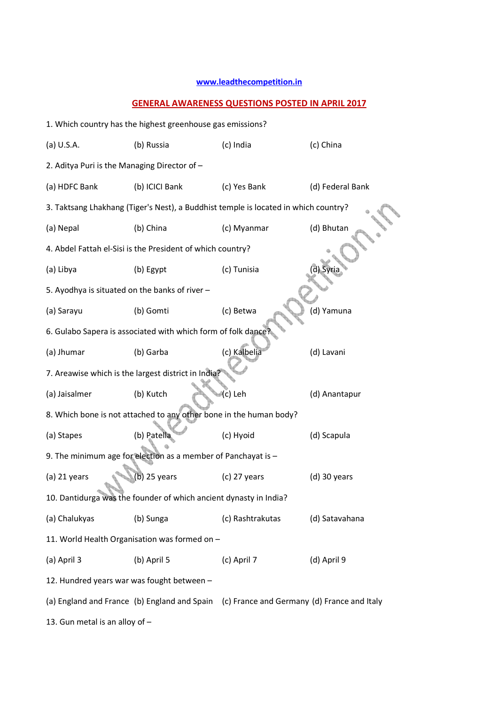## **www.leadthecompetition.in**

## **GENERAL AWARENESS QUESTIONS POSTED IN APRIL 2017**

| 1. Which country has the highest greenhouse gas emissions? |                                                                                          |                  |                  |  |  |  |
|------------------------------------------------------------|------------------------------------------------------------------------------------------|------------------|------------------|--|--|--|
| (a) U.S.A.                                                 | (b) Russia                                                                               | (c) India        | (c) China        |  |  |  |
| 2. Aditya Puri is the Managing Director of -               |                                                                                          |                  |                  |  |  |  |
| (a) HDFC Bank                                              | (b) ICICI Bank                                                                           | (c) Yes Bank     | (d) Federal Bank |  |  |  |
|                                                            | 3. Taktsang Lhakhang (Tiger's Nest), a Buddhist temple is located in which country?      |                  |                  |  |  |  |
| (a) Nepal                                                  | (b) China                                                                                | (c) Myanmar      | (d) Bhutan       |  |  |  |
|                                                            | 4. Abdel Fattah el-Sisi is the President of which country?                               |                  |                  |  |  |  |
| (a) Libya                                                  | (b) Egypt                                                                                | (c) Tunisia      | di Syria         |  |  |  |
| 5. Ayodhya is situated on the banks of river -             |                                                                                          |                  |                  |  |  |  |
| (a) Sarayu                                                 | (b) Gomti                                                                                | (c) Betwa        | (d) Yamuna       |  |  |  |
|                                                            | 6. Gulabo Sapera is associated with which form of folk dance?                            |                  |                  |  |  |  |
| (a) Jhumar                                                 | (b) Garba                                                                                | (c) Kalbelia     | (d) Lavani       |  |  |  |
|                                                            | 7. Areawise which is the largest district in India?                                      |                  |                  |  |  |  |
| (a) Jaisalmer                                              | (b) Kutch                                                                                | (c) Leh          | (d) Anantapur    |  |  |  |
|                                                            | 8. Which bone is not attached to any other bone in the human body?                       |                  |                  |  |  |  |
| (a) Stapes                                                 | (b) Patella                                                                              | (c) Hyoid        | (d) Scapula      |  |  |  |
|                                                            | 9. The minimum age for election as a member of Panchayat is -                            |                  |                  |  |  |  |
| (a) 21 years                                               | b) 25 years                                                                              | $(c)$ 27 years   | $(d)$ 30 years   |  |  |  |
|                                                            | 10. Dantidurga was the founder of which ancient dynasty in India?                        |                  |                  |  |  |  |
| (a) Chalukyas                                              | (b) Sunga                                                                                | (c) Rashtrakutas | (d) Satavahana   |  |  |  |
|                                                            | 11. World Health Organisation was formed on -                                            |                  |                  |  |  |  |
| (a) April 3                                                | (b) April 5                                                                              | (c) April 7      | (d) April 9      |  |  |  |
|                                                            | 12. Hundred years war was fought between -                                               |                  |                  |  |  |  |
|                                                            | (a) England and France (b) England and Spain (c) France and Germany (d) France and Italy |                  |                  |  |  |  |
| 13. Gun metal is an alloy of -                             |                                                                                          |                  |                  |  |  |  |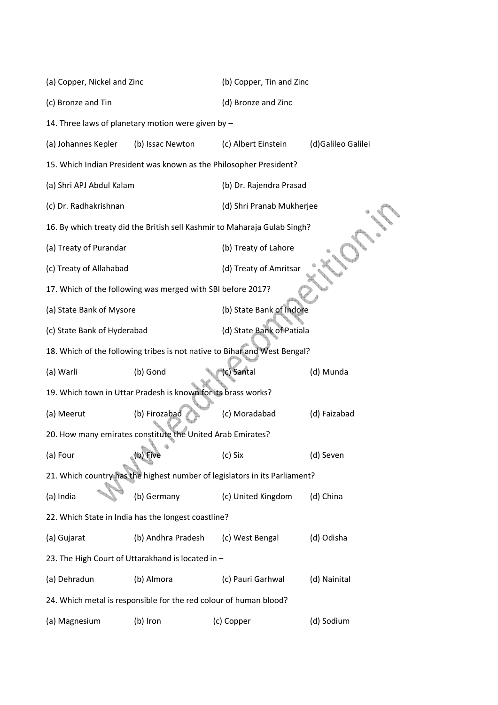| (a) Copper, Nickel and Zinc                                        |                                                                   | (b) Copper, Tin and Zinc                                                   |                    |  |  |
|--------------------------------------------------------------------|-------------------------------------------------------------------|----------------------------------------------------------------------------|--------------------|--|--|
| (c) Bronze and Tin                                                 |                                                                   | (d) Bronze and Zinc                                                        |                    |  |  |
|                                                                    | 14. Three laws of planetary motion were given by -                |                                                                            |                    |  |  |
| (a) Johannes Kepler                                                | (b) Issac Newton                                                  | (c) Albert Einstein                                                        | (d)Galileo Galilei |  |  |
| 15. Which Indian President was known as the Philosopher President? |                                                                   |                                                                            |                    |  |  |
| (a) Shri APJ Abdul Kalam                                           |                                                                   | (b) Dr. Rajendra Prasad                                                    |                    |  |  |
| (c) Dr. Radhakrishnan                                              |                                                                   | (d) Shri Pranab Mukherjee                                                  |                    |  |  |
|                                                                    |                                                                   | 16. By which treaty did the British sell Kashmir to Maharaja Gulab Singh?  |                    |  |  |
| (a) Treaty of Purandar                                             |                                                                   | (b) Treaty of Lahore                                                       |                    |  |  |
| (c) Treaty of Allahabad                                            |                                                                   | (d) Treaty of Amritsar                                                     |                    |  |  |
|                                                                    | 17. Which of the following was merged with SBI before 2017?       |                                                                            |                    |  |  |
| (a) State Bank of Mysore                                           |                                                                   | (b) State Bank of Indore                                                   |                    |  |  |
| (c) State Bank of Hyderabad                                        |                                                                   | (d) State Bank of Patiala                                                  |                    |  |  |
|                                                                    |                                                                   | 18. Which of the following tribes is not native to Bihar and West Bengal?  |                    |  |  |
| (a) Warli                                                          | (b) Gond                                                          | (c) Santal                                                                 | (d) Munda          |  |  |
|                                                                    | 19. Which town in Uttar Pradesh is known for its brass works?     |                                                                            |                    |  |  |
| (a) Meerut                                                         | (b) Firozabad                                                     | (c) Moradabad                                                              | (d) Faizabad       |  |  |
|                                                                    | 20. How many emirates constitute the United Arab Emirates?        |                                                                            |                    |  |  |
| (a) Four                                                           | (b) Five                                                          | (c) Six                                                                    | (d) Seven          |  |  |
|                                                                    |                                                                   | 21. Which country has the highest number of legislators in its Parliament? |                    |  |  |
| (a) India                                                          | (b) Germany                                                       | (c) United Kingdom                                                         | (d) China          |  |  |
|                                                                    | 22. Which State in India has the longest coastline?               |                                                                            |                    |  |  |
| (a) Gujarat                                                        | (b) Andhra Pradesh                                                | (c) West Bengal                                                            | (d) Odisha         |  |  |
|                                                                    | 23. The High Court of Uttarakhand is located in -                 |                                                                            |                    |  |  |
| (a) Dehradun                                                       | (b) Almora                                                        | (c) Pauri Garhwal                                                          | (d) Nainital       |  |  |
|                                                                    | 24. Which metal is responsible for the red colour of human blood? |                                                                            |                    |  |  |
| (a) Magnesium                                                      | (b) Iron                                                          | (c) Copper                                                                 | (d) Sodium         |  |  |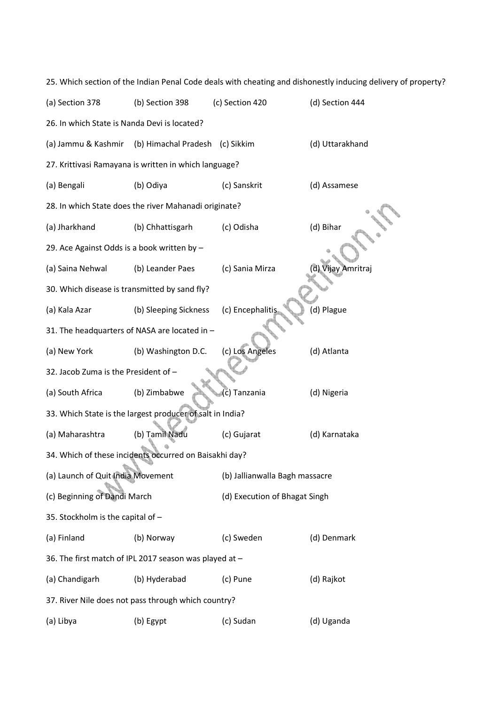|                                               |                                                           |                                | 25. Which section of the Indian Penal Code deals with cheating and dishonestly inducing delivery of property? |
|-----------------------------------------------|-----------------------------------------------------------|--------------------------------|---------------------------------------------------------------------------------------------------------------|
| (a) Section 378                               | (b) Section 398                                           | (c) Section 420                | (d) Section 444                                                                                               |
| 26. In which State is Nanda Devi is located?  |                                                           |                                |                                                                                                               |
| (a) Jammu & Kashmir                           | (b) Himachal Pradesh (c) Sikkim                           |                                | (d) Uttarakhand                                                                                               |
|                                               | 27. Krittivasi Ramayana is written in which language?     |                                |                                                                                                               |
| (a) Bengali                                   | (b) Odiya                                                 | (c) Sanskrit                   | (d) Assamese                                                                                                  |
|                                               | 28. In which State does the river Mahanadi originate?     |                                |                                                                                                               |
| (a) Jharkhand                                 | (b) Chhattisgarh                                          | (c) Odisha                     | (d) Bihar                                                                                                     |
| 29. Ace Against Odds is a book written by -   |                                                           |                                |                                                                                                               |
| (a) Saina Nehwal                              | (b) Leander Paes                                          | (c) Sania Mirza                | (d) Vijay Amritraj                                                                                            |
| 30. Which disease is transmitted by sand fly? |                                                           |                                |                                                                                                               |
| (a) Kala Azar                                 | (b) Sleeping Sickness                                     | (c) Encephalitis               | (d) Plague                                                                                                    |
|                                               | 31. The headquarters of NASA are located in -             |                                |                                                                                                               |
| (a) New York                                  | (b) Washington D.C.                                       | (c) Los Angeles                | (d) Atlanta                                                                                                   |
| 32. Jacob Zuma is the President of -          |                                                           |                                |                                                                                                               |
| (a) South Africa                              | (b) Zimbabwe                                              | c) Tanzania                    | (d) Nigeria                                                                                                   |
|                                               | 33. Which State is the largest producer of salt in India? |                                |                                                                                                               |
| (a) Maharashtra                               | (b) Tamil Nadu                                            | (c) Gujarat                    | (d) Karnataka                                                                                                 |
|                                               | 34. Which of these incidents occurred on Baisakhi day?    |                                |                                                                                                               |
| (a) Launch of Quit India Movement             |                                                           | (b) Jallianwalla Bagh massacre |                                                                                                               |
| (c) Beginning of Dandi March                  |                                                           | (d) Execution of Bhagat Singh  |                                                                                                               |
| 35. Stockholm is the capital of -             |                                                           |                                |                                                                                                               |
| (a) Finland                                   | (b) Norway                                                | (c) Sweden                     | (d) Denmark                                                                                                   |
|                                               | 36. The first match of IPL 2017 season was played at -    |                                |                                                                                                               |
| (a) Chandigarh                                | (b) Hyderabad                                             | (c) Pune                       | (d) Rajkot                                                                                                    |
|                                               | 37. River Nile does not pass through which country?       |                                |                                                                                                               |
| (a) Libya                                     | (b) Egypt                                                 | (c) Sudan                      | (d) Uganda                                                                                                    |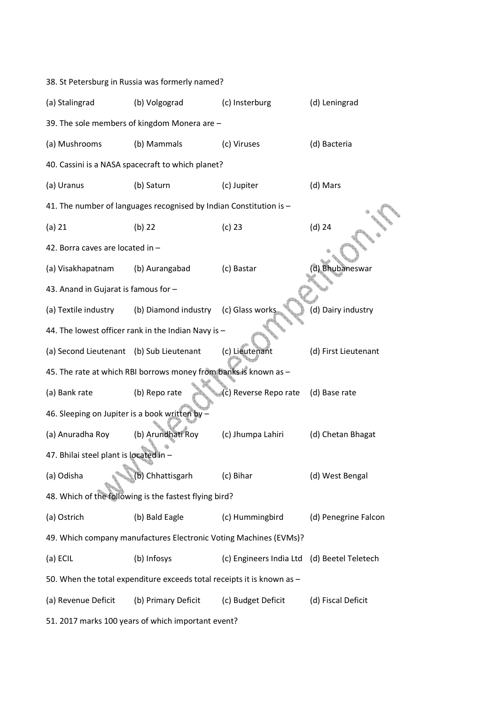| 38. St Petersburg in Russia was formerly named? |                                                                        |                                             |                      |  |  |  |
|-------------------------------------------------|------------------------------------------------------------------------|---------------------------------------------|----------------------|--|--|--|
| (a) Stalingrad                                  | (b) Volgograd                                                          | (c) Insterburg                              | (d) Leningrad        |  |  |  |
|                                                 | 39. The sole members of kingdom Monera are -                           |                                             |                      |  |  |  |
| (a) Mushrooms                                   | (b) Mammals                                                            | (c) Viruses                                 | (d) Bacteria         |  |  |  |
|                                                 | 40. Cassini is a NASA spacecraft to which planet?                      |                                             |                      |  |  |  |
| (a) Uranus                                      | (b) Saturn                                                             | (c) Jupiter                                 | (d) Mars             |  |  |  |
|                                                 | 41. The number of languages recognised by Indian Constitution is -     |                                             |                      |  |  |  |
| (a) 21                                          | $(b)$ 22                                                               | $(c)$ 23                                    | $(d)$ 24             |  |  |  |
| 42. Borra caves are located in -                |                                                                        |                                             |                      |  |  |  |
| (a) Visakhapatnam                               | (b) Aurangabad                                                         | (c) Bastar                                  | (d) Bhubaneswar      |  |  |  |
| 43. Anand in Gujarat is famous for -            |                                                                        |                                             |                      |  |  |  |
| (a) Textile industry                            | (b) Diamond industry                                                   | (c) Glass works                             | (d) Dairy industry   |  |  |  |
|                                                 | 44. The lowest officer rank in the Indian Navy is -                    |                                             |                      |  |  |  |
| (a) Second Lieutenant (b) Sub Lieutenant        |                                                                        | (c) Lieutenant                              | (d) First Lieutenant |  |  |  |
|                                                 | 45. The rate at which RBI borrows money from banks is known as -       |                                             |                      |  |  |  |
| (a) Bank rate                                   | (b) Repo rate                                                          | (c) Reverse Repo rate                       | (d) Base rate        |  |  |  |
| 46. Sleeping on Jupiter is a book written by    |                                                                        |                                             |                      |  |  |  |
| (a) Anuradha Roy                                | (b) Arundhati Roy                                                      | (c) Jhumpa Lahiri                           | (d) Chetan Bhagat    |  |  |  |
| 47. Bhilai steel plant is located in -          |                                                                        |                                             |                      |  |  |  |
| (a) Odisha                                      | (b) Chhattisgarh                                                       | (c) Bihar                                   | (d) West Bengal      |  |  |  |
|                                                 | 48. Which of the following is the fastest flying bird?                 |                                             |                      |  |  |  |
| (a) Ostrich                                     | (b) Bald Eagle                                                         | (c) Hummingbird                             | (d) Penegrine Falcon |  |  |  |
|                                                 | 49. Which company manufactures Electronic Voting Machines (EVMs)?      |                                             |                      |  |  |  |
| (a) ECIL                                        | (b) Infosys                                                            | (c) Engineers India Ltd (d) Beetel Teletech |                      |  |  |  |
|                                                 | 50. When the total expenditure exceeds total receipts it is known as - |                                             |                      |  |  |  |
| (a) Revenue Deficit                             | (b) Primary Deficit                                                    | (c) Budget Deficit                          | (d) Fiscal Deficit   |  |  |  |
|                                                 | 51. 2017 marks 100 years of which important event?                     |                                             |                      |  |  |  |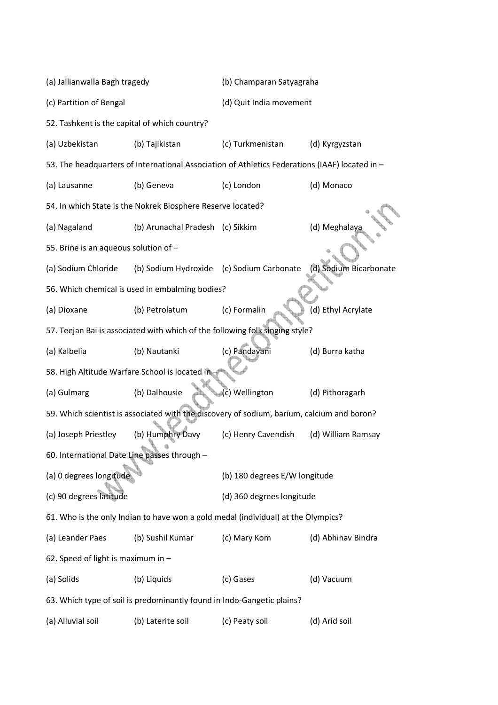| (a) Jallianwalla Bagh tragedy                                                |                                                                                                | (b) Champaran Satyagraha      |                        |  |
|------------------------------------------------------------------------------|------------------------------------------------------------------------------------------------|-------------------------------|------------------------|--|
| (c) Partition of Bengal                                                      |                                                                                                | (d) Quit India movement       |                        |  |
| 52. Tashkent is the capital of which country?                                |                                                                                                |                               |                        |  |
| (a) Uzbekistan                                                               | (b) Tajikistan                                                                                 | (c) Turkmenistan              | (d) Kyrgyzstan         |  |
|                                                                              | 53. The headquarters of International Association of Athletics Federations (IAAF) located in - |                               |                        |  |
| (a) Lausanne                                                                 | (b) Geneva                                                                                     | (c) London                    | (d) Monaco             |  |
|                                                                              | 54. In which State is the Nokrek Biosphere Reserve located?                                    |                               |                        |  |
| (a) Nagaland                                                                 | (b) Arunachal Pradesh (c) Sikkim                                                               |                               | (d) Meghalaya          |  |
| 55. Brine is an aqueous solution of -                                        |                                                                                                |                               |                        |  |
| (a) Sodium Chloride                                                          | (b) Sodium Hydroxide (c) Sodium Carbonate                                                      |                               | (d) Sodium Bicarbonate |  |
|                                                                              | 56. Which chemical is used in embalming bodies?                                                |                               |                        |  |
| (a) Dioxane                                                                  | (b) Petrolatum                                                                                 | (c) Formalin                  | (d) Ethyl Acrylate     |  |
| 57. Teejan Bai is associated with which of the following folk singing style? |                                                                                                |                               |                        |  |
| (a) Kalbelia                                                                 | (b) Nautanki                                                                                   | (c) Pandavani                 | (d) Burra katha        |  |
| 58. High Altitude Warfare School is located in                               |                                                                                                |                               |                        |  |
| (a) Gulmarg                                                                  | (b) Dalhousie                                                                                  | (c) Wellington                | (d) Pithoragarh        |  |
|                                                                              | 59. Which scientist is associated with the discovery of sodium, barium, calcium and boron?     |                               |                        |  |
| (a) Joseph Priestley                                                         | (b) Humphry Davy                                                                               | (c) Henry Cavendish           | (d) William Ramsay     |  |
| 60. International Date Line passes through -                                 |                                                                                                |                               |                        |  |
| (a) 0 degrees longitude                                                      |                                                                                                | (b) 180 degrees E/W longitude |                        |  |
| (c) 90 degrees latitude                                                      |                                                                                                | (d) 360 degrees longitude     |                        |  |
|                                                                              | 61. Who is the only Indian to have won a gold medal (individual) at the Olympics?              |                               |                        |  |
| (a) Leander Paes                                                             | (b) Sushil Kumar                                                                               | (c) Mary Kom                  | (d) Abhinav Bindra     |  |
| 62. Speed of light is maximum in -                                           |                                                                                                |                               |                        |  |
| (a) Solids                                                                   | (b) Liquids                                                                                    | (c) Gases                     | (d) Vacuum             |  |
|                                                                              | 63. Which type of soil is predominantly found in Indo-Gangetic plains?                         |                               |                        |  |
| (a) Alluvial soil                                                            | (b) Laterite soil                                                                              | (c) Peaty soil                | (d) Arid soil          |  |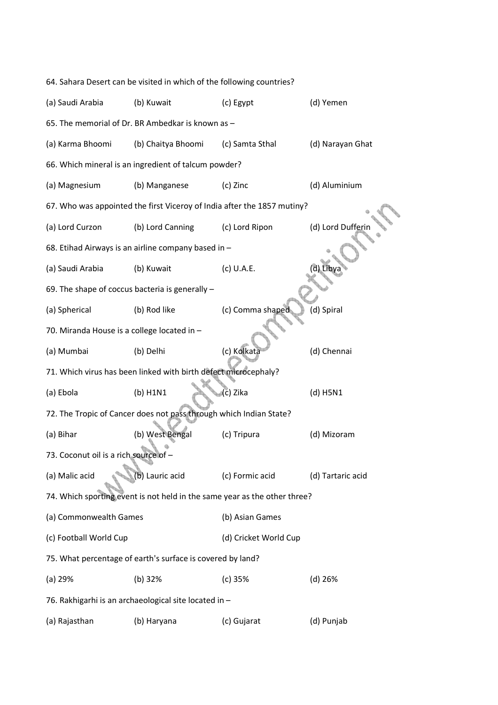| 64. Sahara Desert can be visited in which of the following countries? |                                                                    |                                                                           |                   |  |  |
|-----------------------------------------------------------------------|--------------------------------------------------------------------|---------------------------------------------------------------------------|-------------------|--|--|
| (a) Saudi Arabia                                                      | (b) Kuwait                                                         | (c) Egypt                                                                 | (d) Yemen         |  |  |
|                                                                       | 65. The memorial of Dr. BR Ambedkar is known as -                  |                                                                           |                   |  |  |
| (a) Karma Bhoomi                                                      | (b) Chaitya Bhoomi                                                 | (c) Samta Sthal                                                           | (d) Narayan Ghat  |  |  |
|                                                                       | 66. Which mineral is an ingredient of talcum powder?               |                                                                           |                   |  |  |
| (a) Magnesium                                                         | (b) Manganese                                                      | (c) Zinc                                                                  | (d) Aluminium     |  |  |
|                                                                       |                                                                    | 67. Who was appointed the first Viceroy of India after the 1857 mutiny?   |                   |  |  |
| (a) Lord Curzon                                                       | (b) Lord Canning                                                   | (c) Lord Ripon                                                            | (d) Lord Dufferin |  |  |
|                                                                       | 68. Etihad Airways is an airline company based in -                |                                                                           |                   |  |  |
| (a) Saudi Arabia                                                      | (b) Kuwait                                                         | (c) U.A.E.                                                                | d) Libya          |  |  |
|                                                                       | 69. The shape of coccus bacteria is generally -                    |                                                                           |                   |  |  |
| (a) Spherical                                                         | (b) Rod like                                                       | (c) Comma shaped                                                          | (d) Spiral        |  |  |
| 70. Miranda House is a college located in -                           |                                                                    |                                                                           |                   |  |  |
| (a) Mumbai                                                            | (b) Delhi                                                          | (c) Kolkata                                                               | (d) Chennai       |  |  |
|                                                                       | 71. Which virus has been linked with birth defect microcephaly?    |                                                                           |                   |  |  |
| (a) Ebola                                                             | $(b)$ H1N1                                                         | (c) Zika                                                                  | $(d)$ H5N1        |  |  |
|                                                                       | 72. The Tropic of Cancer does not pass through which Indian State? |                                                                           |                   |  |  |
| (a) Bihar                                                             | (b) West Bengal                                                    | (c) Tripura                                                               | (d) Mizoram       |  |  |
| 73. Coconut oil is a rich source of -                                 |                                                                    |                                                                           |                   |  |  |
| (a) Malic acid                                                        | (b) Lauric acid                                                    | (c) Formic acid                                                           | (d) Tartaric acid |  |  |
|                                                                       |                                                                    | 74. Which sporting event is not held in the same year as the other three? |                   |  |  |
| (a) Commonwealth Games                                                |                                                                    | (b) Asian Games                                                           |                   |  |  |
| (c) Football World Cup                                                |                                                                    | (d) Cricket World Cup                                                     |                   |  |  |
|                                                                       | 75. What percentage of earth's surface is covered by land?         |                                                                           |                   |  |  |
| (a) 29%                                                               | (b) 32%                                                            | $(c)$ 35%                                                                 | $(d)$ 26%         |  |  |
|                                                                       | 76. Rakhigarhi is an archaeological site located in -              |                                                                           |                   |  |  |
| (a) Rajasthan                                                         | (b) Haryana                                                        | (c) Gujarat                                                               | (d) Punjab        |  |  |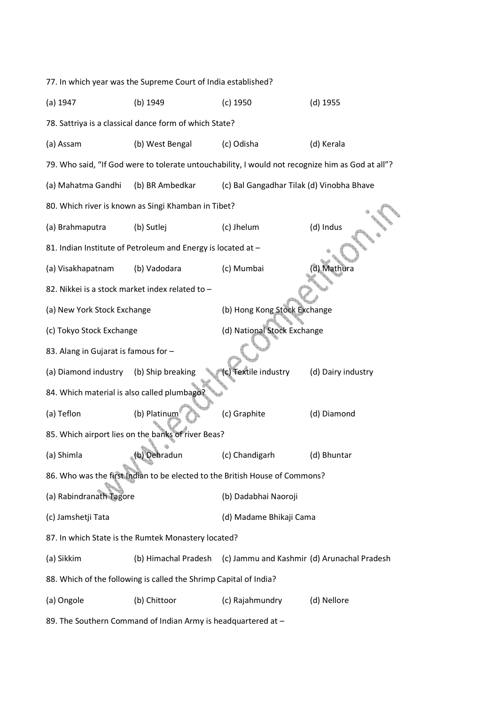| 77. In which year was the Supreme Court of India established? |                                                                                                  |                                             |                    |  |  |
|---------------------------------------------------------------|--------------------------------------------------------------------------------------------------|---------------------------------------------|--------------------|--|--|
| $(a)$ 1947                                                    | (b) 1949                                                                                         | $(c)$ 1950                                  | $(d)$ 1955         |  |  |
|                                                               | 78. Sattriya is a classical dance form of which State?                                           |                                             |                    |  |  |
| (a) Assam                                                     | (b) West Bengal                                                                                  | (c) Odisha                                  | (d) Kerala         |  |  |
|                                                               | 79. Who said, "If God were to tolerate untouchability, I would not recognize him as God at all"? |                                             |                    |  |  |
| (a) Mahatma Gandhi                                            | (b) BR Ambedkar                                                                                  | (c) Bal Gangadhar Tilak (d) Vinobha Bhave   |                    |  |  |
|                                                               | 80. Which river is known as Singi Khamban in Tibet?                                              |                                             |                    |  |  |
| (a) Brahmaputra                                               | (b) Sutlej                                                                                       | (c) Jhelum                                  | (d) Indus          |  |  |
|                                                               | 81. Indian Institute of Petroleum and Energy is located at -                                     |                                             |                    |  |  |
| (a) Visakhapatnam                                             | (b) Vadodara                                                                                     | (c) Mumbai                                  | (d) Mathura        |  |  |
| 82. Nikkei is a stock market index related to -               |                                                                                                  |                                             |                    |  |  |
| (a) New York Stock Exchange                                   |                                                                                                  | (b) Hong Kong Stock Exchange                |                    |  |  |
| (c) Tokyo Stock Exchange                                      |                                                                                                  | (d) National Stock Exchange                 |                    |  |  |
| 83. Alang in Gujarat is famous for -                          |                                                                                                  |                                             |                    |  |  |
| (a) Diamond industry                                          | (b) Ship breaking                                                                                | c) Textile industry                         | (d) Dairy industry |  |  |
| 84. Which material is also called plumbago                    |                                                                                                  |                                             |                    |  |  |
| (a) Teflon                                                    | (b) Platinum                                                                                     | (c) Graphite                                | (d) Diamond        |  |  |
|                                                               | 85. Which airport lies on the banks of river Beas?                                               |                                             |                    |  |  |
| (a) Shimla                                                    | (b) Denradun                                                                                     | (c) Chandigarh                              | (d) Bhuntar        |  |  |
|                                                               | 86. Who was the first Indian to be elected to the British House of Commons?                      |                                             |                    |  |  |
| (a) Rabindranath Tagore                                       |                                                                                                  | (b) Dadabhai Naoroji                        |                    |  |  |
| (c) Jamshetji Tata                                            |                                                                                                  | (d) Madame Bhikaji Cama                     |                    |  |  |
|                                                               | 87. In which State is the Rumtek Monastery located?                                              |                                             |                    |  |  |
| (a) Sikkim                                                    | (b) Himachal Pradesh                                                                             | (c) Jammu and Kashmir (d) Arunachal Pradesh |                    |  |  |
|                                                               | 88. Which of the following is called the Shrimp Capital of India?                                |                                             |                    |  |  |
| (a) Ongole                                                    | (b) Chittoor                                                                                     | (c) Rajahmundry                             | (d) Nellore        |  |  |
|                                                               | 89. The Southern Command of Indian Army is headquartered at -                                    |                                             |                    |  |  |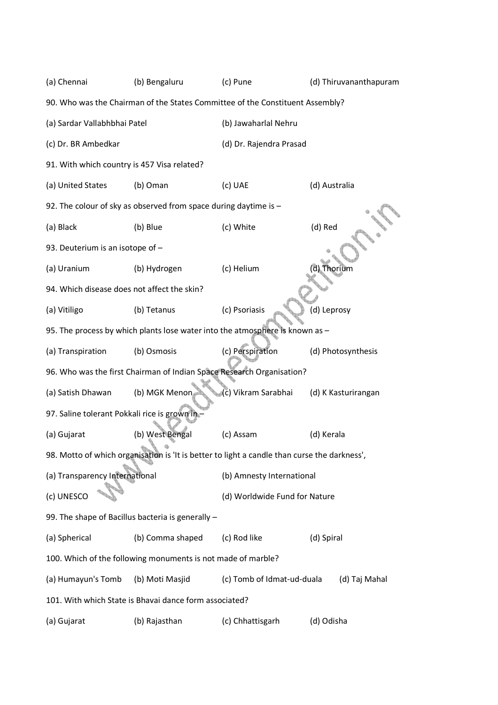| (a) Chennai                                                                   | (b) Bengaluru                                                                                | (c) Pune                      | (d) Thiruvananthapuram |  |  |
|-------------------------------------------------------------------------------|----------------------------------------------------------------------------------------------|-------------------------------|------------------------|--|--|
| 90. Who was the Chairman of the States Committee of the Constituent Assembly? |                                                                                              |                               |                        |  |  |
| (a) Sardar Vallabhbhai Patel                                                  |                                                                                              | (b) Jawaharlal Nehru          |                        |  |  |
| (c) Dr. BR Ambedkar                                                           |                                                                                              | (d) Dr. Rajendra Prasad       |                        |  |  |
| 91. With which country is 457 Visa related?                                   |                                                                                              |                               |                        |  |  |
| (a) United States                                                             | (b) Oman                                                                                     | (c) UAE                       | (d) Australia          |  |  |
|                                                                               | 92. The colour of sky as observed from space during daytime is -                             |                               |                        |  |  |
| (a) Black                                                                     | (b) Blue                                                                                     | (c) White                     | (d) Red                |  |  |
| 93. Deuterium is an isotope of -                                              |                                                                                              |                               |                        |  |  |
| (a) Uranium                                                                   | (b) Hydrogen                                                                                 | (c) Helium                    | (d) Thorium            |  |  |
| 94. Which disease does not affect the skin?                                   |                                                                                              |                               |                        |  |  |
| (a) Vitiligo                                                                  | (b) Tetanus                                                                                  | (c) Psoriasis                 | (d) Leprosy            |  |  |
|                                                                               | 95. The process by which plants lose water into the atmosphere is known as -                 |                               |                        |  |  |
| (a) Transpiration                                                             | (b) Osmosis                                                                                  | (c) Perspiration              | (d) Photosynthesis     |  |  |
|                                                                               | 96. Who was the first Chairman of Indian Space Research Organisation?                        |                               |                        |  |  |
| (a) Satish Dhawan                                                             | (b) MGK Menon                                                                                | (c) Vikram Sarabhai           | (d) K Kasturirangan    |  |  |
| 97. Saline tolerant Pokkali rice is grown in-                                 |                                                                                              |                               |                        |  |  |
| (a) Gujarat                                                                   | (b) West Bengal                                                                              | (c) Assam                     | (d) Kerala             |  |  |
|                                                                               | 98. Motto of which organisation is 'It is better to light a candle than curse the darkness', |                               |                        |  |  |
| (a) Transparency International                                                |                                                                                              | (b) Amnesty International     |                        |  |  |
| (c) UNESCO                                                                    |                                                                                              | (d) Worldwide Fund for Nature |                        |  |  |
|                                                                               | 99. The shape of Bacillus bacteria is generally -                                            |                               |                        |  |  |
| (a) Spherical                                                                 | (b) Comma shaped                                                                             | (c) Rod like                  | (d) Spiral             |  |  |
|                                                                               | 100. Which of the following monuments is not made of marble?                                 |                               |                        |  |  |
| (a) Humayun's Tomb                                                            | (b) Moti Masjid                                                                              | (c) Tomb of Idmat-ud-duala    | (d) Taj Mahal          |  |  |
|                                                                               | 101. With which State is Bhavai dance form associated?                                       |                               |                        |  |  |
| (a) Gujarat                                                                   | (b) Rajasthan                                                                                | (c) Chhattisgarh              | (d) Odisha             |  |  |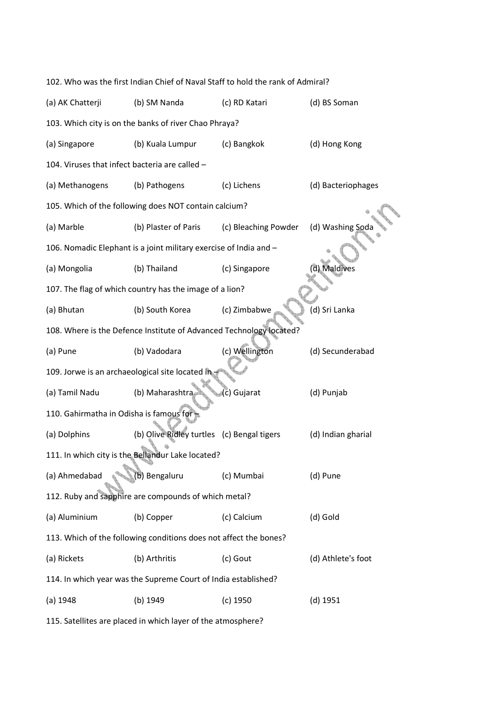| 102. Who was the first Indian Chief of Naval Staff to hold the rank of Admiral? |                                                                     |                      |                    |  |  |  |  |  |
|---------------------------------------------------------------------------------|---------------------------------------------------------------------|----------------------|--------------------|--|--|--|--|--|
| (a) AK Chatterji                                                                | (b) SM Nanda                                                        | (d) BS Soman         |                    |  |  |  |  |  |
| 103. Which city is on the banks of river Chao Phraya?                           |                                                                     |                      |                    |  |  |  |  |  |
| (a) Singapore                                                                   | (b) Kuala Lumpur<br>(c) Bangkok<br>(d) Hong Kong                    |                      |                    |  |  |  |  |  |
| 104. Viruses that infect bacteria are called -                                  |                                                                     |                      |                    |  |  |  |  |  |
| (a) Methanogens                                                                 | (b) Pathogens                                                       | (c) Lichens          | (d) Bacteriophages |  |  |  |  |  |
|                                                                                 | 105. Which of the following does NOT contain calcium?               |                      |                    |  |  |  |  |  |
| (a) Marble                                                                      | (b) Plaster of Paris                                                | (c) Bleaching Powder | (d) Washing Soda   |  |  |  |  |  |
|                                                                                 | 106. Nomadic Elephant is a joint military exercise of India and -   |                      |                    |  |  |  |  |  |
| (a) Mongolia                                                                    | (b) Thailand                                                        | (c) Singapore        | (d) Maldives       |  |  |  |  |  |
|                                                                                 | 107. The flag of which country has the image of a lion?             |                      |                    |  |  |  |  |  |
| (a) Bhutan                                                                      | (b) South Korea                                                     | (c) Zimbabwe         | (d) Sri Lanka      |  |  |  |  |  |
|                                                                                 | 108. Where is the Defence Institute of Advanced Technology located? |                      |                    |  |  |  |  |  |
| (a) Pune                                                                        | (d) Secunderabad                                                    |                      |                    |  |  |  |  |  |
| 109. Jorwe is an archaeological site located in                                 |                                                                     |                      |                    |  |  |  |  |  |
| (a) Tamil Nadu                                                                  | (b) Maharashtra                                                     | (c) Gujarat          | (d) Punjab         |  |  |  |  |  |
| 110. Gahirmatha in Odisha is famous for-                                        |                                                                     |                      |                    |  |  |  |  |  |
| (a) Dolphins                                                                    | (b) Olive Ridley turtles (c) Bengal tigers                          |                      | (d) Indian gharial |  |  |  |  |  |
|                                                                                 | 111. In which city is the Bellandur Lake located?                   |                      |                    |  |  |  |  |  |
| (a) Ahmedabad                                                                   | (b) Bengaluru                                                       | (c) Mumbai           | (d) Pune           |  |  |  |  |  |
|                                                                                 | 112. Ruby and sapphire are compounds of which metal?                |                      |                    |  |  |  |  |  |
| (a) Aluminium                                                                   | (b) Copper                                                          | (c) Calcium          | (d) Gold           |  |  |  |  |  |
| 113. Which of the following conditions does not affect the bones?               |                                                                     |                      |                    |  |  |  |  |  |
| (a) Rickets                                                                     | (b) Arthritis                                                       | (c) Gout             | (d) Athlete's foot |  |  |  |  |  |
|                                                                                 | 114. In which year was the Supreme Court of India established?      |                      |                    |  |  |  |  |  |
| (a) 1948                                                                        | (b) 1949                                                            | $(c)$ 1950           | $(d)$ 1951         |  |  |  |  |  |

115. Satellites are placed in which layer of the atmosphere?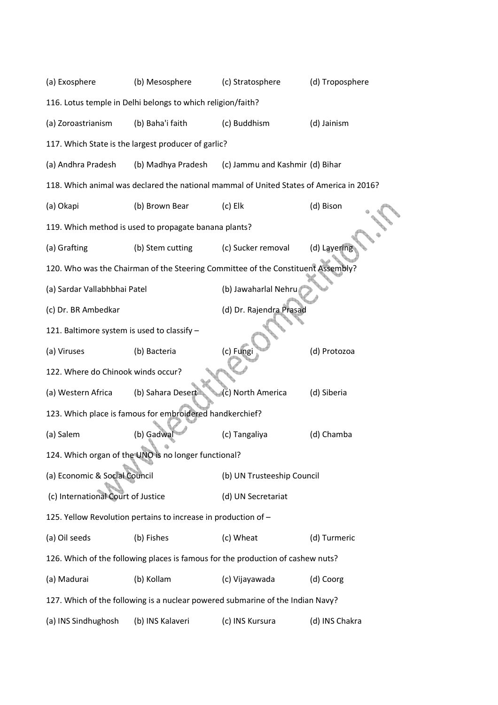| (a) Exosphere                                       | (b) Mesosphere                                                                          | (c) Stratosphere                | (d) Troposphere |  |  |  |
|-----------------------------------------------------|-----------------------------------------------------------------------------------------|---------------------------------|-----------------|--|--|--|
|                                                     | 116. Lotus temple in Delhi belongs to which religion/faith?                             |                                 |                 |  |  |  |
| (a) Zoroastrianism                                  | (b) Baha'i faith                                                                        | (c) Buddhism                    | (d) Jainism     |  |  |  |
| 117. Which State is the largest producer of garlic? |                                                                                         |                                 |                 |  |  |  |
| (a) Andhra Pradesh                                  | (b) Madhya Pradesh                                                                      | (c) Jammu and Kashmir (d) Bihar |                 |  |  |  |
|                                                     | 118. Which animal was declared the national mammal of United States of America in 2016? |                                 |                 |  |  |  |
| (a) Okapi                                           | (b) Brown Bear                                                                          | $(c)$ Elk                       | (d) Bison       |  |  |  |
|                                                     | 119. Which method is used to propagate banana plants?                                   |                                 |                 |  |  |  |
| (a) Grafting                                        | (b) Stem cutting                                                                        | (c) Sucker removal              | (d) Layering    |  |  |  |
|                                                     | 120. Who was the Chairman of the Steering Committee of the Constituent Assembly?        |                                 |                 |  |  |  |
| (a) Sardar Vallabhbhai Patel                        |                                                                                         | (b) Jawaharlal Nehru            |                 |  |  |  |
| (c) Dr. BR Ambedkar                                 |                                                                                         | (d) Dr. Rajendra Prasad         |                 |  |  |  |
| 121. Baltimore system is used to classify -         |                                                                                         |                                 |                 |  |  |  |
| (a) Viruses                                         | (b) Bacteria                                                                            | (c) Fungi                       | (d) Protozoa    |  |  |  |
| 122. Where do Chinook winds occur?                  |                                                                                         |                                 |                 |  |  |  |
| (a) Western Africa                                  | (b) Sahara Desert                                                                       | (c) North America               | (d) Siberia     |  |  |  |
|                                                     | 123. Which place is famous for embroidered handkerchief?                                |                                 |                 |  |  |  |
| (a) Salem                                           | (b) Gadwal                                                                              | (c) Tangaliya                   | (d) Chamba      |  |  |  |
|                                                     | 124. Which organ of the UNO is no longer functional?                                    |                                 |                 |  |  |  |
| (a) Economic & Social Council                       |                                                                                         | (b) UN Trusteeship Council      |                 |  |  |  |
| (c) International Court of Justice                  |                                                                                         | (d) UN Secretariat              |                 |  |  |  |
|                                                     | 125. Yellow Revolution pertains to increase in production of -                          |                                 |                 |  |  |  |
| (a) Oil seeds                                       | (b) Fishes                                                                              | (c) Wheat                       | (d) Turmeric    |  |  |  |
|                                                     | 126. Which of the following places is famous for the production of cashew nuts?         |                                 |                 |  |  |  |
| (a) Madurai                                         | (b) Kollam                                                                              | (c) Vijayawada                  | (d) Coorg       |  |  |  |
|                                                     | 127. Which of the following is a nuclear powered submarine of the Indian Navy?          |                                 |                 |  |  |  |
| (a) INS Sindhughosh                                 | (b) INS Kalaveri                                                                        | (c) INS Kursura                 | (d) INS Chakra  |  |  |  |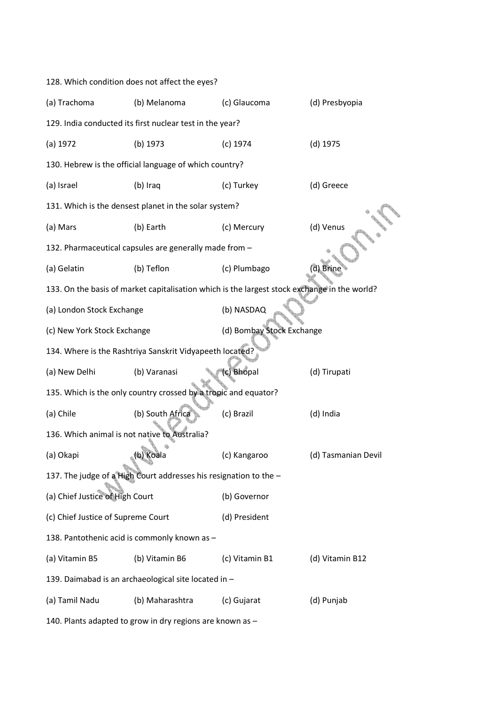| 128. Which condition does not affect the eyes?         |                                                                                              |                           |                     |  |  |  |  |
|--------------------------------------------------------|----------------------------------------------------------------------------------------------|---------------------------|---------------------|--|--|--|--|
| (a) Trachoma                                           | (b) Melanoma                                                                                 | (c) Glaucoma              | (d) Presbyopia      |  |  |  |  |
|                                                        | 129. India conducted its first nuclear test in the year?                                     |                           |                     |  |  |  |  |
| (a) 1972                                               | (b) 1973                                                                                     | $(c)$ 1974                | $(d)$ 1975          |  |  |  |  |
| 130. Hebrew is the official language of which country? |                                                                                              |                           |                     |  |  |  |  |
| (a) Israel                                             | (b) Iraq                                                                                     | (c) Turkey                | (d) Greece          |  |  |  |  |
|                                                        | 131. Which is the densest planet in the solar system?                                        |                           |                     |  |  |  |  |
| (a) Mars                                               | (b) Earth                                                                                    | (c) Mercury               | (d) Venus           |  |  |  |  |
|                                                        | 132. Pharmaceutical capsules are generally made from -                                       |                           |                     |  |  |  |  |
| (a) Gelatin                                            | (b) Teflon                                                                                   | (c) Plumbago              | (d) Brine           |  |  |  |  |
|                                                        | 133. On the basis of market capitalisation which is the largest stock exchange in the world? |                           |                     |  |  |  |  |
| (a) London Stock Exchange                              |                                                                                              | (b) NASDAQ                |                     |  |  |  |  |
| (c) New York Stock Exchange                            |                                                                                              | (d) Bombay Stock Exchange |                     |  |  |  |  |
|                                                        | 134. Where is the Rashtriya Sanskrit Vidyapeeth located?                                     |                           |                     |  |  |  |  |
| (a) New Delhi                                          | (b) Varanasi                                                                                 | (c) Bhopal                | (d) Tirupati        |  |  |  |  |
|                                                        | 135. Which is the only country crossed by a tropic and equator?                              |                           |                     |  |  |  |  |
| (a) Chile                                              | (b) South Africa                                                                             | (c) Brazil                | (d) India           |  |  |  |  |
| 136. Which animal is not native to Australia?          |                                                                                              |                           |                     |  |  |  |  |
| (a) Okapi                                              | (b) Koala                                                                                    | (c) Kangaroo              | (d) Tasmanian Devil |  |  |  |  |
|                                                        | 137. The judge of a High Court addresses his resignation to the -                            |                           |                     |  |  |  |  |
| (a) Chief Justice of High Court                        |                                                                                              | (b) Governor              |                     |  |  |  |  |
| (c) Chief Justice of Supreme Court                     |                                                                                              | (d) President             |                     |  |  |  |  |
|                                                        | 138. Pantothenic acid is commonly known as -                                                 |                           |                     |  |  |  |  |
| (a) Vitamin B5                                         | (b) Vitamin B6                                                                               | (c) Vitamin B1            | (d) Vitamin B12     |  |  |  |  |
|                                                        | 139. Daimabad is an archaeological site located in -                                         |                           |                     |  |  |  |  |
| (a) Tamil Nadu                                         | (b) Maharashtra                                                                              | (c) Gujarat               | (d) Punjab          |  |  |  |  |
|                                                        |                                                                                              |                           |                     |  |  |  |  |

140. Plants adapted to grow in dry regions are known as –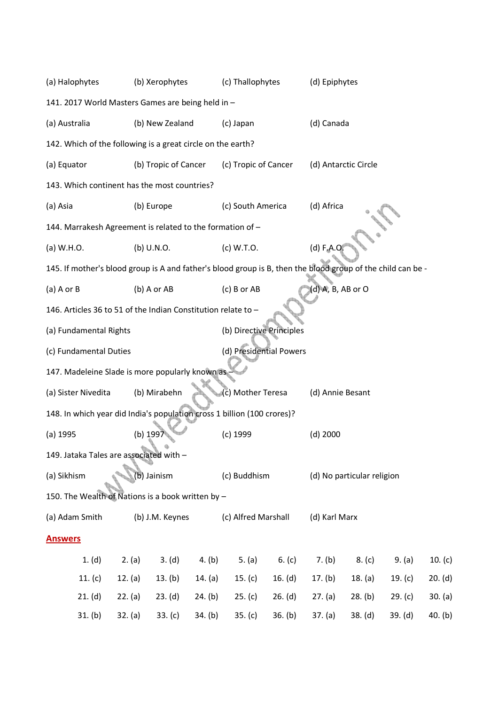| (a) Halophytes                                                                                              |           | (b) Xerophytes       |           | (c) Thallophytes         |           | (d) Epiphytes     |                            |           |         |
|-------------------------------------------------------------------------------------------------------------|-----------|----------------------|-----------|--------------------------|-----------|-------------------|----------------------------|-----------|---------|
| 141. 2017 World Masters Games are being held in -                                                           |           |                      |           |                          |           |                   |                            |           |         |
| (a) Australia                                                                                               |           | (b) New Zealand      |           | (c) Japan                |           | (d) Canada        |                            |           |         |
| 142. Which of the following is a great circle on the earth?                                                 |           |                      |           |                          |           |                   |                            |           |         |
| (a) Equator                                                                                                 |           | (b) Tropic of Cancer |           | (c) Tropic of Cancer     |           |                   | (d) Antarctic Circle       |           |         |
| 143. Which continent has the most countries?                                                                |           |                      |           |                          |           |                   |                            |           |         |
| (a) Asia                                                                                                    |           | (b) Europe           |           | (c) South America        |           | (d) Africa        |                            |           |         |
| 144. Marrakesh Agreement is related to the formation of -                                                   |           |                      |           |                          |           |                   |                            |           |         |
| (a) W.H.O.                                                                                                  |           | (b) U.N.O.           |           | (c) W.T.O.               |           | (d) F.A.Q         |                            |           |         |
| 145. If mother's blood group is A and father's blood group is B, then the blood group of the child can be - |           |                      |           |                          |           |                   |                            |           |         |
| $(a)$ A or B                                                                                                |           | (b) A or AB          |           | (c) B or AB              |           | (d) A, B, AB or O |                            |           |         |
| 146. Articles 36 to 51 of the Indian Constitution relate to -                                               |           |                      |           |                          |           |                   |                            |           |         |
| (a) Fundamental Rights                                                                                      |           |                      |           | (b) Directive Principles |           |                   |                            |           |         |
| (c) Fundamental Duties                                                                                      |           |                      |           | (d) Presidential Powers  |           |                   |                            |           |         |
| 147. Madeleine Slade is more popularly known as                                                             |           |                      |           |                          |           |                   |                            |           |         |
| (a) Sister Nivedita                                                                                         |           | (b) Mirabehn         |           | (c) Mother Teresa        |           | (d) Annie Besant  |                            |           |         |
| 148. In which year did India's population cross 1 billion (100 crores)?                                     |           |                      |           |                          |           |                   |                            |           |         |
| $(a)$ 1995                                                                                                  | (b) 199   |                      |           | (c) 1999                 |           | $(d)$ 2000        |                            |           |         |
| 149. Jataka Tales are associated with -                                                                     |           |                      |           |                          |           |                   |                            |           |         |
| (a) Sikhism                                                                                                 |           | (b) Jainism          |           | (c) Buddhism             |           |                   | (d) No particular religion |           |         |
| 150. The Wealth of Nations is a book written by -                                                           |           |                      |           |                          |           |                   |                            |           |         |
| (a) Adam Smith                                                                                              |           | (b) J.M. Keynes      |           | (c) Alfred Marshall      |           | (d) Karl Marx     |                            |           |         |
| <b>Answers</b>                                                                                              |           |                      |           |                          |           |                   |                            |           |         |
| 1. (d)                                                                                                      | 2. (a)    | 3. (d)               | 4. $(b)$  | 5. $(a)$                 | 6. $(c)$  | 7. (b)            | 8. (c)                     | 9. (a)    | 10. (c) |
| 11. $(c)$                                                                                                   | 12. $(a)$ | 13. (b)              | 14. $(a)$ | 15. $(c)$                | 16. $(d)$ | 17. $(b)$         | 18. (a)                    | 19. $(c)$ | 20. (d) |
| 21. (d)                                                                                                     | 22. (a)   | 23. (d)              | 24. (b)   | 25. (c)                  | 26. (d)   | 27. (a)           | 28. (b)                    | 29. (c)   | 30. (a) |
| 31. (b)                                                                                                     | 32. (a)   | 33. (c)              | 34. (b)   | 35. (c)                  | 36. (b)   | 37. (a)           | 38. (d)                    | 39. (d)   | 40. (b) |